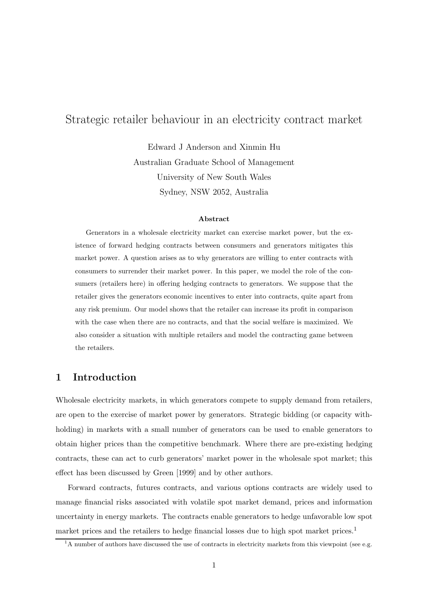# Strategic retailer behaviour in an electricity contract market

Edward J Anderson and Xinmin Hu Australian Graduate School of Management University of New South Wales Sydney, NSW 2052, Australia

#### Abstract

Generators in a wholesale electricity market can exercise market power, but the existence of forward hedging contracts between consumers and generators mitigates this market power. A question arises as to why generators are willing to enter contracts with consumers to surrender their market power. In this paper, we model the role of the consumers (retailers here) in offering hedging contracts to generators. We suppose that the retailer gives the generators economic incentives to enter into contracts, quite apart from any risk premium. Our model shows that the retailer can increase its profit in comparison with the case when there are no contracts, and that the social welfare is maximized. We also consider a situation with multiple retailers and model the contracting game between the retailers.

## 1 Introduction

Wholesale electricity markets, in which generators compete to supply demand from retailers, are open to the exercise of market power by generators. Strategic bidding (or capacity withholding) in markets with a small number of generators can be used to enable generators to obtain higher prices than the competitive benchmark. Where there are pre-existing hedging contracts, these can act to curb generators' market power in the wholesale spot market; this effect has been discussed by Green [1999] and by other authors.

Forward contracts, futures contracts, and various options contracts are widely used to manage financial risks associated with volatile spot market demand, prices and information uncertainty in energy markets. The contracts enable generators to hedge unfavorable low spot market prices and the retailers to hedge financial losses due to high spot market prices.<sup>1</sup>

 $1$ A number of authors have discussed the use of contracts in electricity markets from this viewpoint (see e.g.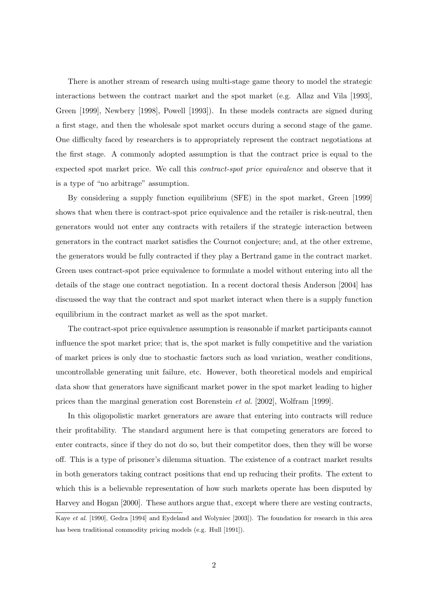There is another stream of research using multi-stage game theory to model the strategic interactions between the contract market and the spot market (e.g. Allaz and Vila [1993], Green [1999], Newbery [1998], Powell [1993]). In these models contracts are signed during a first stage, and then the wholesale spot market occurs during a second stage of the game. One difficulty faced by researchers is to appropriately represent the contract negotiations at the first stage. A commonly adopted assumption is that the contract price is equal to the expected spot market price. We call this contract-spot price equivalence and observe that it is a type of "no arbitrage" assumption.

By considering a supply function equilibrium (SFE) in the spot market, Green [1999] shows that when there is contract-spot price equivalence and the retailer is risk-neutral, then generators would not enter any contracts with retailers if the strategic interaction between generators in the contract market satisfies the Cournot conjecture; and, at the other extreme, the generators would be fully contracted if they play a Bertrand game in the contract market. Green uses contract-spot price equivalence to formulate a model without entering into all the details of the stage one contract negotiation. In a recent doctoral thesis Anderson [2004] has discussed the way that the contract and spot market interact when there is a supply function equilibrium in the contract market as well as the spot market.

The contract-spot price equivalence assumption is reasonable if market participants cannot influence the spot market price; that is, the spot market is fully competitive and the variation of market prices is only due to stochastic factors such as load variation, weather conditions, uncontrollable generating unit failure, etc. However, both theoretical models and empirical data show that generators have significant market power in the spot market leading to higher prices than the marginal generation cost Borenstein et al. [2002], Wolfram [1999].

In this oligopolistic market generators are aware that entering into contracts will reduce their profitability. The standard argument here is that competing generators are forced to enter contracts, since if they do not do so, but their competitor does, then they will be worse off. This is a type of prisoner's dilemma situation. The existence of a contract market results in both generators taking contract positions that end up reducing their profits. The extent to which this is a believable representation of how such markets operate has been disputed by Harvey and Hogan [2000]. These authors argue that, except where there are vesting contracts,

Kaye et al. [1990], Gedra [1994] and Eydeland and Wolyniec [2003]). The foundation for research in this area has been traditional commodity pricing models (e.g. Hull [1991]).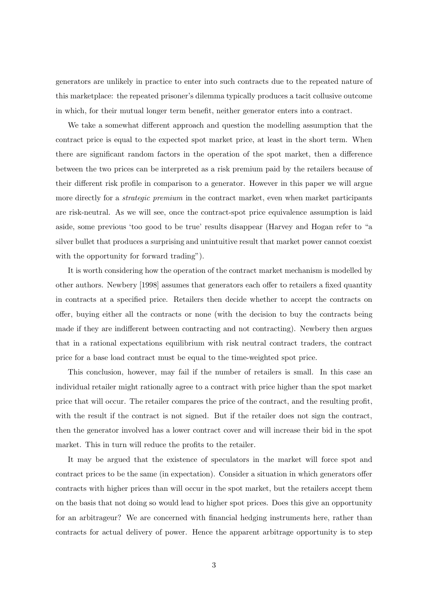generators are unlikely in practice to enter into such contracts due to the repeated nature of this marketplace: the repeated prisoner's dilemma typically produces a tacit collusive outcome in which, for their mutual longer term benefit, neither generator enters into a contract.

We take a somewhat different approach and question the modelling assumption that the contract price is equal to the expected spot market price, at least in the short term. When there are significant random factors in the operation of the spot market, then a difference between the two prices can be interpreted as a risk premium paid by the retailers because of their different risk profile in comparison to a generator. However in this paper we will argue more directly for a *strategic premium* in the contract market, even when market participants are risk-neutral. As we will see, once the contract-spot price equivalence assumption is laid aside, some previous 'too good to be true' results disappear (Harvey and Hogan refer to "a silver bullet that produces a surprising and unintuitive result that market power cannot coexist with the opportunity for forward trading").

It is worth considering how the operation of the contract market mechanism is modelled by other authors. Newbery [1998] assumes that generators each offer to retailers a fixed quantity in contracts at a specified price. Retailers then decide whether to accept the contracts on offer, buying either all the contracts or none (with the decision to buy the contracts being made if they are indifferent between contracting and not contracting). Newbery then argues that in a rational expectations equilibrium with risk neutral contract traders, the contract price for a base load contract must be equal to the time-weighted spot price.

This conclusion, however, may fail if the number of retailers is small. In this case an individual retailer might rationally agree to a contract with price higher than the spot market price that will occur. The retailer compares the price of the contract, and the resulting profit, with the result if the contract is not signed. But if the retailer does not sign the contract, then the generator involved has a lower contract cover and will increase their bid in the spot market. This in turn will reduce the profits to the retailer.

It may be argued that the existence of speculators in the market will force spot and contract prices to be the same (in expectation). Consider a situation in which generators offer contracts with higher prices than will occur in the spot market, but the retailers accept them on the basis that not doing so would lead to higher spot prices. Does this give an opportunity for an arbitrageur? We are concerned with financial hedging instruments here, rather than contracts for actual delivery of power. Hence the apparent arbitrage opportunity is to step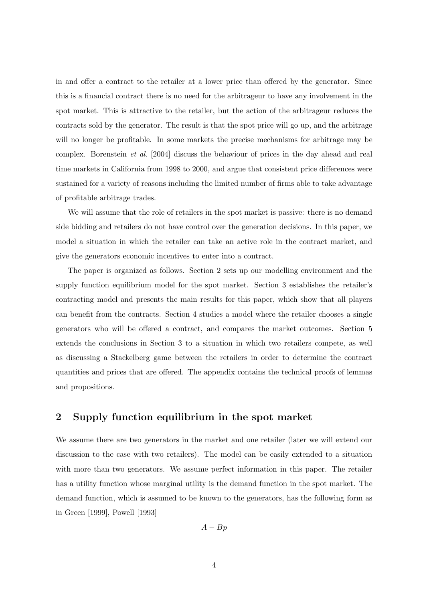in and offer a contract to the retailer at a lower price than offered by the generator. Since this is a financial contract there is no need for the arbitrageur to have any involvement in the spot market. This is attractive to the retailer, but the action of the arbitrageur reduces the contracts sold by the generator. The result is that the spot price will go up, and the arbitrage will no longer be profitable. In some markets the precise mechanisms for arbitrage may be complex. Borenstein et al. [2004] discuss the behaviour of prices in the day ahead and real time markets in California from 1998 to 2000, and argue that consistent price differences were sustained for a variety of reasons including the limited number of firms able to take advantage of profitable arbitrage trades.

We will assume that the role of retailers in the spot market is passive: there is no demand side bidding and retailers do not have control over the generation decisions. In this paper, we model a situation in which the retailer can take an active role in the contract market, and give the generators economic incentives to enter into a contract.

The paper is organized as follows. Section 2 sets up our modelling environment and the supply function equilibrium model for the spot market. Section 3 establishes the retailer's contracting model and presents the main results for this paper, which show that all players can benefit from the contracts. Section 4 studies a model where the retailer chooses a single generators who will be offered a contract, and compares the market outcomes. Section 5 extends the conclusions in Section 3 to a situation in which two retailers compete, as well as discussing a Stackelberg game between the retailers in order to determine the contract quantities and prices that are offered. The appendix contains the technical proofs of lemmas and propositions.

## 2 Supply function equilibrium in the spot market

We assume there are two generators in the market and one retailer (later we will extend our discussion to the case with two retailers). The model can be easily extended to a situation with more than two generators. We assume perfect information in this paper. The retailer has a utility function whose marginal utility is the demand function in the spot market. The demand function, which is assumed to be known to the generators, has the following form as in Green [1999], Powell [1993]

$$
A-Bp
$$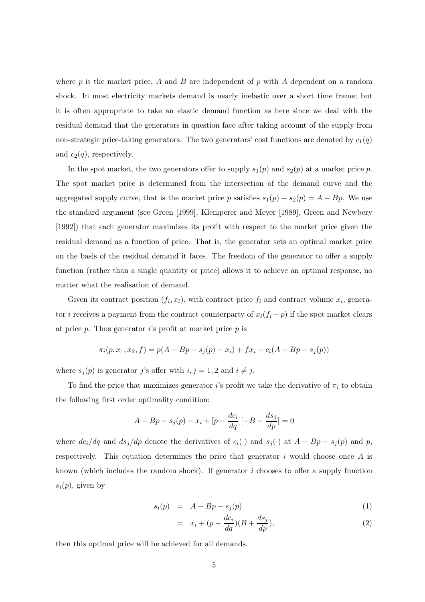where  $p$  is the market price, A and B are independent of p with A dependent on a random shock. In most electricity markets demand is nearly inelastic over a short time frame; but it is often appropriate to take an elastic demand function as here since we deal with the residual demand that the generators in question face after taking account of the supply from non-strategic price-taking generators. The two generators' cost functions are denoted by  $c_1(q)$ and  $c_2(q)$ , respectively.

In the spot market, the two generators offer to supply  $s_1(p)$  and  $s_2(p)$  at a market price p. The spot market price is determined from the intersection of the demand curve and the aggregated supply curve, that is the market price p satisfies  $s_1(p) + s_2(p) = A - Bp$ . We use the standard argument (see Green [1999], Klemperer and Meyer [1989], Green and Newbery [1992]) that each generator maximizes its profit with respect to the market price given the residual demand as a function of price. That is, the generator sets an optimal market price on the basis of the residual demand it faces. The freedom of the generator to offer a supply function (rather than a single quantity or price) allows it to achieve an optimal response, no matter what the realisation of demand.

Given its contract position  $(f_i, x_i)$ , with contract price  $f_i$  and contract volume  $x_i$ , generator *i* receives a payment from the contract counterparty of  $x_i(f_i - p)$  if the spot market clears at price  $p$ . Thus generator i's profit at market price  $p$  is

$$
\pi_i(p, x_1, x_2, f) = p(A - Bp - s_j(p) - x_i) + fx_i - c_i(A - Bp - s_j(p))
$$

where  $s_j(p)$  is generator j's offer with  $i, j = 1, 2$  and  $i \neq j$ .

To find the price that maximizes generator i's profit we take the derivative of  $\pi_i$  to obtain the following first order optimality condition:

$$
A - Bp - s_j(p) - x_i + [p - \frac{dc_i}{dq}][-B - \frac{ds_j}{dp}] = 0
$$

where  $dc_i/dq$  and  $ds_j/dp$  denote the derivatives of  $c_i(\cdot)$  and  $s_j(\cdot)$  at  $A - Bp - s_j(p)$  and p, respectively. This equation determines the price that generator  $i$  would choose once  $A$  is known (which includes the random shock). If generator  $i$  chooses to offer a supply function  $s_i(p)$ , given by

$$
s_i(p) = A - Bp - s_j(p) \tag{1}
$$

$$
= x_i + (p - \frac{dc_i}{dq})(B + \frac{ds_j}{dp}), \qquad (2)
$$

then this optimal price will be achieved for all demands.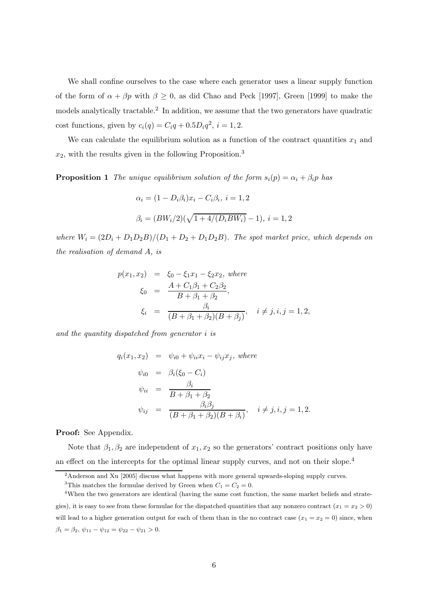We shall confine ourselves to the case where each generator uses a linear supply function of the form of  $\alpha + \beta p$  with  $\beta \geq 0$ , as did Chao and Peck [1997], Green [1999] to make the models analytically tractable.<sup>2</sup> In addition, we assume that the two generators have quadratic cost functions, given by  $c_i(q) = C_i q + 0.5D_i q^2$ ,  $i = 1, 2$ .

We can calculate the equilibrium solution as a function of the contract quantities  $x_1$  and  $x_2$ , with the results given in the following Proposition.<sup>3</sup>

**Proposition 1** The unique equilibrium solution of the form  $s_i(p) = \alpha_i + \beta_i p$  has

$$
\alpha_i = (1 - D_i \beta_i) x_i - C_i \beta_i, \ i = 1, 2
$$

$$
\beta_i = (BW_i/2)(\sqrt{1 + 4/(D_i BW_i)} - 1), \ i = 1, 2
$$

where  $W_i = (2D_i + D_1D_2B)/(D_1 + D_2 + D_1D_2B)$ . The spot market price, which depends on the realisation of demand A, is

$$
p(x_1, x_2) = \xi_0 - \xi_1 x_1 - \xi_2 x_2, \text{ where}
$$
  
\n
$$
\xi_0 = \frac{A + C_1 \beta_1 + C_2 \beta_2}{B + \beta_1 + \beta_2},
$$
  
\n
$$
\xi_i = \frac{\beta_i}{(B + \beta_1 + \beta_2)(B + \beta_j)}, \quad i \neq j, i, j = 1, 2,
$$

and the quantity dispatched from generator i is

$$
q_i(x_1, x_2) = \psi_{i0} + \psi_{ii} x_i - \psi_{ij} x_j, \text{ where}
$$
  
\n
$$
\psi_{i0} = \beta_i (\xi_0 - C_i)
$$
  
\n
$$
\psi_{ii} = \frac{\beta_i}{B + \beta_1 + \beta_2}
$$
  
\n
$$
\psi_{ij} = \frac{\beta_i \beta_j}{(B + \beta_1 + \beta_2)(B + \beta_i)}, \quad i \neq j, i, j = 1, 2.
$$

Proof: See Appendix.

Note that  $\beta_1, \beta_2$  are independent of  $x_1, x_2$  so the generators' contract positions only have an effect on the intercepts for the optimal linear supply curves, and not on their slope.<sup>4</sup>

<sup>&</sup>lt;sup>2</sup>Anderson and Xu [2005] discuss what happens with more general upwards-sloping supply curves.

<sup>&</sup>lt;sup>3</sup>This matches the formulae derived by Green when  $C_1 = C_2 = 0$ .

<sup>&</sup>lt;sup>4</sup>When the two generators are identical (having the same cost function, the same market beliefs and strategies), it is easy to see from these formulae for the dispatched quantities that any nonzero contract  $(x_1 = x_2 > 0)$ will lead to a higher generation output for each of them than in the no contract case  $(x_1 = x_2 = 0)$  since, when  $\beta_1 = \beta_2, \psi_{11} - \psi_{12} = \psi_{22} - \psi_{21} > 0.$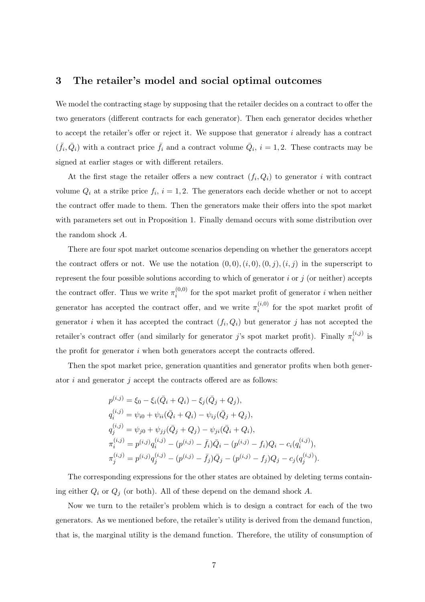## 3 The retailer's model and social optimal outcomes

We model the contracting stage by supposing that the retailer decides on a contract to offer the two generators (different contracts for each generator). Then each generator decides whether to accept the retailer's offer or reject it. We suppose that generator  $i$  already has a contract  $(\bar{f}_i, \bar{Q}_i)$  with a contract price  $\bar{f}_i$  and a contract volume  $\bar{Q}_i$ ,  $i = 1, 2$ . These contracts may be signed at earlier stages or with different retailers.

At the first stage the retailer offers a new contract  $(f_i, Q_i)$  to generator i with contract volume  $Q_i$  at a strike price  $f_i$ ,  $i = 1, 2$ . The generators each decide whether or not to accept the contract offer made to them. Then the generators make their offers into the spot market with parameters set out in Proposition 1. Finally demand occurs with some distribution over the random shock A.

There are four spot market outcome scenarios depending on whether the generators accept the contract offers or not. We use the notation  $(0, 0), (i, 0), (0, j), (i, j)$  in the superscript to represent the four possible solutions according to which of generator  $i$  or  $j$  (or neither) accepts the contract offer. Thus we write  $\pi_i^{(0,0)}$  $i_i^{(0,0)}$  for the spot market profit of generator i when neither generator has accepted the contract offer, and we write  $\pi_i^{(i,0)}$  $i^{(i,0)}$  for the spot market profit of generator *i* when it has accepted the contract  $(f_i, Q_i)$  but generator *j* has not accepted the retailer's contract offer (and similarly for generator j's spot market profit). Finally  $\pi_i^{(i,j)}$  $i^{(i,j)}$  is the profit for generator i when both generators accept the contracts offered.

Then the spot market price, generation quantities and generator profits when both generator  $i$  and generator  $j$  accept the contracts offered are as follows:

$$
p^{(i,j)} = \xi_0 - \xi_i(\bar{Q}_i + Q_i) - \xi_j(\bar{Q}_j + Q_j),
$$
  
\n
$$
q_i^{(i,j)} = \psi_{i0} + \psi_{ii}(\bar{Q}_i + Q_i) - \psi_{ij}(\bar{Q}_j + Q_j),
$$
  
\n
$$
q_j^{(i,j)} = \psi_{j0} + \psi_{jj}(\bar{Q}_j + Q_j) - \psi_{ji}(\bar{Q}_i + Q_i),
$$
  
\n
$$
\pi_i^{(i,j)} = p^{(i,j)}q_i^{(i,j)} - (p^{(i,j)} - \bar{f}_i)\bar{Q}_i - (p^{(i,j)} - f_i)Q_i - c_i(q_i^{(i,j)}),
$$
  
\n
$$
\pi_j^{(i,j)} = p^{(i,j)}q_j^{(i,j)} - (p^{(i,j)} - \bar{f}_j)\bar{Q}_j - (p^{(i,j)} - f_j)Q_j - c_j(q_j^{(i,j)}).
$$

The corresponding expressions for the other states are obtained by deleting terms containing either  $Q_i$  or  $Q_j$  (or both). All of these depend on the demand shock  $A$ .

Now we turn to the retailer's problem which is to design a contract for each of the two generators. As we mentioned before, the retailer's utility is derived from the demand function, that is, the marginal utility is the demand function. Therefore, the utility of consumption of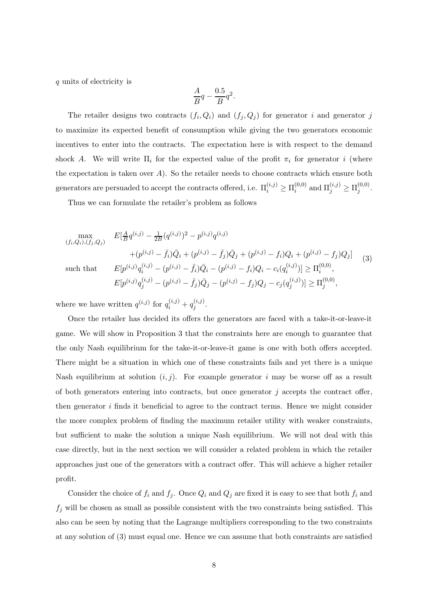q units of electricity is

$$
\frac{A}{B}q-\frac{0.5}{B}q^2.
$$

The retailer designs two contracts  $(f_i, Q_i)$  and  $(f_j, Q_j)$  for generator i and generator j to maximize its expected benefit of consumption while giving the two generators economic incentives to enter into the contracts. The expectation here is with respect to the demand shock A. We will write  $\Pi_i$  for the expected value of the profit  $\pi_i$  for generator i (where the expectation is taken over  $A$ ). So the retailer needs to choose contracts which ensure both generators are persuaded to accept the contracts offered, i.e.  $\Pi_i^{(i,j)} \geq \Pi_i^{(0,0)}$  $\mathbf{I}_{i}^{(0,0)}$  and  $\Pi_{j}^{(i,j)} \geq \Pi_{j}^{(0,0)}$  $j^{(0,0)}$ .

Thus we can formulate the retailer's problem as follows

$$
\max_{(f_i, Q_i), (f_j, Q_j)} \quad E[\frac{A}{B}q^{(i,j)} - \frac{1}{2B}(q^{(i,j)})^2 - p^{(i,j)}q^{(i,j)} + (p^{(i,j)} - \bar{f}_j)\bar{Q}_j + (p^{(i,j)} - f_i)Q_i + (p^{(i,j)} - f_j)Q_j] \quad (3)
$$
\nsuch that

\n
$$
E[p^{(i,j)}q_i^{(i,j)} - (p^{(i,j)} - \bar{f}_i)\bar{Q}_i - (p^{(i,j)} - f_i)Q_i - c_i(q_i^{(i,j)})] \ge \Pi_i^{(0,0)},
$$
\n
$$
E[p^{(i,j)}q_j^{(i,j)} - (p^{(i,j)} - \bar{f}_j)\bar{Q}_j - (p^{(i,j)} - f_j)Q_j - c_j(q_j^{(i,j)})] \ge \Pi_j^{(0,0)},
$$
\n(3)

where we have written  $q^{(i,j)}$  for  $q_i^{(i,j)} + q_j^{(i,j)}$  $j^{(i,j)}.$ 

Once the retailer has decided its offers the generators are faced with a take-it-or-leave-it game. We will show in Proposition 3 that the constraints here are enough to guarantee that the only Nash equilibrium for the take-it-or-leave-it game is one with both offers accepted. There might be a situation in which one of these constraints fails and yet there is a unique Nash equilibrium at solution  $(i, j)$ . For example generator i may be worse off as a result of both generators entering into contracts, but once generator  $j$  accepts the contract offer, then generator  $i$  finds it beneficial to agree to the contract terms. Hence we might consider the more complex problem of finding the maximum retailer utility with weaker constraints, but sufficient to make the solution a unique Nash equilibrium. We will not deal with this case directly, but in the next section we will consider a related problem in which the retailer approaches just one of the generators with a contract offer. This will achieve a higher retailer profit.

Consider the choice of  $f_i$  and  $f_j$ . Once  $Q_i$  and  $Q_j$  are fixed it is easy to see that both  $f_i$  and  $f_j$  will be chosen as small as possible consistent with the two constraints being satisfied. This also can be seen by noting that the Lagrange multipliers corresponding to the two constraints at any solution of (3) must equal one. Hence we can assume that both constraints are satisfied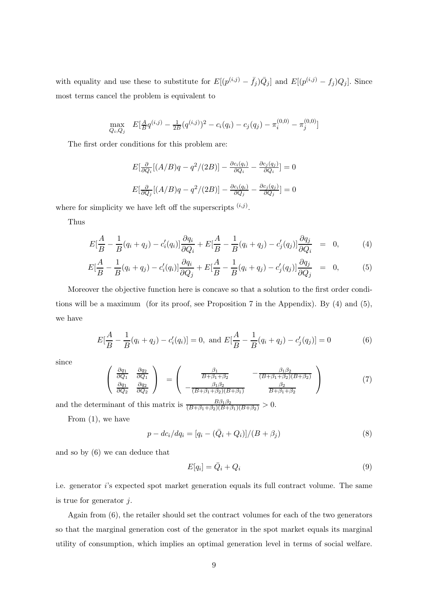with equality and use these to substitute for  $E[(p^{(i,j)} - \bar{f}_j)Q_j]$  and  $E[(p^{(i,j)} - f_j)Q_j]$ . Since most terms cancel the problem is equivalent to

$$
\max_{Q_i, Q_j} E[\frac{A}{B}q^{(i,j)} - \frac{1}{2B}(q^{(i,j)})^2 - c_i(q_i) - c_j(q_j) - \pi_i^{(0,0)} - \pi_j^{(0,0)}]
$$

The first order conditions for this problem are:

$$
E\left[\frac{\partial}{\partial Q_i}[(A/B)q - q^2/(2B)] - \frac{\partial c_i(q_i)}{\partial Q_i} - \frac{\partial c_j(q_j)}{\partial Q_i}\right] = 0
$$
  

$$
E\left[\frac{\partial}{\partial Q_j}[(A/B)q - q^2/(2B)] - \frac{\partial c_i(q_i)}{\partial Q_j} - \frac{\partial c_j(q_j)}{\partial Q_j}\right] = 0
$$

where for simplicity we have left off the superscripts  $(i,j)$ .

Thus

$$
E[\frac{A}{B} - \frac{1}{B}(q_i + q_j) - c_i'(q_i)] \frac{\partial q_i}{\partial Q_i} + E[\frac{A}{B} - \frac{1}{B}(q_i + q_j) - c_j'(q_j)] \frac{\partial q_j}{\partial Q_i} = 0, \quad (4)
$$

$$
E[\frac{A}{B} - \frac{1}{B}(q_i + q_j) - c_i'(q_i)]\frac{\partial q_i}{\partial Q_j} + E[\frac{A}{B} - \frac{1}{B}(q_i + q_j) - c_j'(q_j)]\frac{\partial q_j}{\partial Q_j} = 0, \quad (5)
$$

Moreover the objective function here is concave so that a solution to the first order conditions will be a maximum (for its proof, see Proposition 7 in the Appendix). By (4) and (5), we have

$$
E[\frac{A}{B} - \frac{1}{B}(q_i + q_j) - c'_i(q_i)] = 0, \text{ and } E[\frac{A}{B} - \frac{1}{B}(q_i + q_j) - c'_j(q_j)] = 0 \tag{6}
$$

since

$$
\begin{pmatrix}\n\frac{\partial q_1}{\partial Q_1} & \frac{\partial q_2}{\partial Q_1} \\
\frac{\partial q_1}{\partial Q_2} & \frac{\partial q_2}{\partial Q_2}\n\end{pmatrix}\n=\n\begin{pmatrix}\n\frac{\beta_1}{B+\beta_1+\beta_2} & -\frac{\beta_1\beta_2}{(B+\beta_1+\beta_2)(B+\beta_2)} \\
-\frac{\beta_1\beta_2}{(B+\beta_1+\beta_2)(B+\beta_1)} & \frac{\beta_2}{B+\beta_1+\beta_2}\n\end{pmatrix}
$$
\n(7)

and the determinant of this matrix is  $\frac{B\beta_1\beta_2}{(B+\beta_1+\beta_2)(B+\beta_1)(B+\beta_2)}>0.$ 

From (1), we have

$$
p - dc_i/dq_i = [q_i - (\bar{Q}_i + Q_i)]/(B + \beta_j)
$$
\n(8)

and so by (6) we can deduce that

$$
E[q_i] = \bar{Q}_i + Q_i \tag{9}
$$

i.e. generator i's expected spot market generation equals its full contract volume. The same is true for generator  $j$ .

Again from (6), the retailer should set the contract volumes for each of the two generators so that the marginal generation cost of the generator in the spot market equals its marginal utility of consumption, which implies an optimal generation level in terms of social welfare.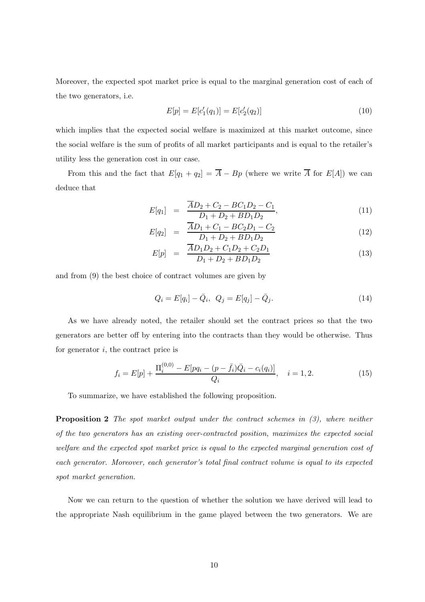Moreover, the expected spot market price is equal to the marginal generation cost of each of the two generators, i.e.

$$
E[p] = E[c'_1(q_1)] = E[c'_2(q_2)] \tag{10}
$$

which implies that the expected social welfare is maximized at this market outcome, since the social welfare is the sum of profits of all market participants and is equal to the retailer's utility less the generation cost in our case.

From this and the fact that  $E[q_1 + q_2] = \overline{A} - Bp$  (where we write  $\overline{A}$  for  $E[A]$ ) we can deduce that

$$
E[q_1] = \frac{\overline{A}D_2 + C_2 - BC_1D_2 - C_1}{D_1 + D_2 + BD_1D_2},\tag{11}
$$

$$
E[q_2] = \frac{\overline{A}D_1 + C_1 - BC_2D_1 - C_2}{D_1 + D_2 + BD_1D_2} \tag{12}
$$

$$
E[p] = \frac{\overline{A}D_1D_2 + C_1D_2 + C_2D_1}{D_1 + D_2 + BD_1D_2} \tag{13}
$$

and from (9) the best choice of contract volumes are given by

$$
Q_i = E[q_i] - \bar{Q}_i, \ \ Q_j = E[q_j] - \bar{Q}_j. \tag{14}
$$

As we have already noted, the retailer should set the contract prices so that the two generators are better off by entering into the contracts than they would be otherwise. Thus for generator  $i$ , the contract price is

$$
f_i = E[p] + \frac{\Pi_i^{(0,0)} - E[pq_i - (p - \bar{f}_i)\bar{Q}_i - c_i(q_i)]}{Q_i}, \quad i = 1, 2.
$$
 (15)

To summarize, we have established the following proposition.

Proposition 2 The spot market output under the contract schemes in  $(3)$ , where neither of the two generators has an existing over-contracted position, maximizes the expected social welfare and the expected spot market price is equal to the expected marginal generation cost of each generator. Moreover, each generator's total final contract volume is equal to its expected spot market generation.

Now we can return to the question of whether the solution we have derived will lead to the appropriate Nash equilibrium in the game played between the two generators. We are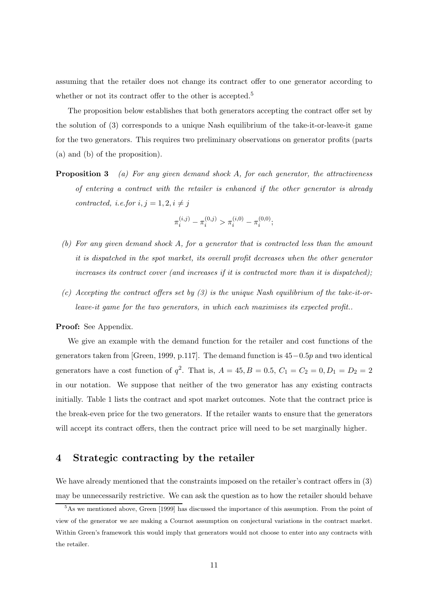assuming that the retailer does not change its contract offer to one generator according to whether or not its contract offer to the other is accepted.<sup>5</sup>

The proposition below establishes that both generators accepting the contract offer set by the solution of (3) corresponds to a unique Nash equilibrium of the take-it-or-leave-it game for the two generators. This requires two preliminary observations on generator profits (parts (a) and (b) of the proposition).

**Proposition 3** (a) For any given demand shock A, for each generator, the attractiveness of entering a contract with the retailer is enhanced if the other generator is already contracted, i.e.for  $i, j = 1, 2, i \neq j$ 

$$
\pi_i^{(i,j)}-\pi_i^{(0,j)}>\pi_i^{(i,0)}-\pi_i^{(0,0)};
$$

- (b) For any given demand shock A, for a generator that is contracted less than the amount it is dispatched in the spot market, its overall profit decreases when the other generator increases its contract cover (and increases if it is contracted more than it is dispatched);
- (c) Accepting the contract offers set by  $(3)$  is the unique Nash equilibrium of the take-it-orleave-it game for the two generators, in which each maximises its expected profit..

#### Proof: See Appendix.

We give an example with the demand function for the retailer and cost functions of the generators taken from [Green, 1999, p.117]. The demand function is 45−0.5p and two identical generators have a cost function of  $q^2$ . That is,  $A = 45, B = 0.5, C_1 = C_2 = 0, D_1 = D_2 = 2$ in our notation. We suppose that neither of the two generator has any existing contracts initially. Table 1 lists the contract and spot market outcomes. Note that the contract price is the break-even price for the two generators. If the retailer wants to ensure that the generators will accept its contract offers, then the contract price will need to be set marginally higher.

# 4 Strategic contracting by the retailer

We have already mentioned that the constraints imposed on the retailer's contract offers in (3) may be unnecessarily restrictive. We can ask the question as to how the retailer should behave

<sup>5</sup>As we mentioned above, Green [1999] has discussed the importance of this assumption. From the point of view of the generator we are making a Cournot assumption on conjectural variations in the contract market. Within Green's framework this would imply that generators would not choose to enter into any contracts with the retailer.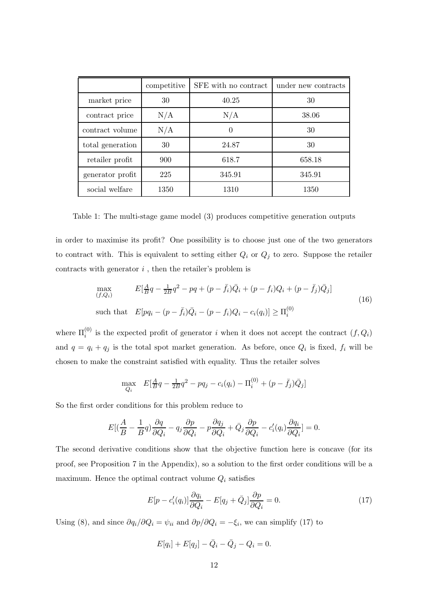|                  | competitive | SFE with no contract | under new contracts |
|------------------|-------------|----------------------|---------------------|
| market price     | 30          | 40.25                | 30                  |
| contract price   | N/A         | N/A                  | 38.06               |
| contract volume  | N/A         | $\theta$             | 30                  |
| total generation | 30          | 24.87                | 30                  |
| retailer profit  | 900         | 618.7                | 658.18              |
| generator profit | 225         | 345.91               | 345.91              |
| social welfare   | 1350        | 1310                 | 1350                |

Table 1: The multi-stage game model (3) produces competitive generation outputs

in order to maximise its profit? One possibility is to choose just one of the two generators to contract with. This is equivalent to setting either  $Q_i$  or  $Q_j$  to zero. Suppose the retailer contracts with generator  $i$ , then the retailer's problem is

$$
\max_{(f,Q_i)} \qquad E[\frac{A}{B}q - \frac{1}{2B}q^2 - pq + (p - \bar{f}_i)\bar{Q}_i + (p - f_i)Q_i + (p - \bar{f}_j)\bar{Q}_j] \n\text{such that} \quad E[pq_i - (p - \bar{f}_i)\bar{Q}_i - (p - f_i)Q_i - c_i(q_i)] \ge \Pi_i^{(0)}
$$
\n(16)

where  $\Pi_i^{(0)}$  is the expected profit of generator i when it does not accept the contract  $(f, Q_i)$ and  $q = q_i + q_j$  is the total spot market generation. As before, once  $Q_i$  is fixed,  $f_i$  will be chosen to make the constraint satisfied with equality. Thus the retailer solves

$$
\max_{Q_i} \quad E[\frac{A}{B}q - \frac{1}{2B}q^2 - pq_j - c_i(q_i) - \Pi_i^{(0)} + (p - \bar{f}_j)\bar{Q}_j]
$$

So the first order conditions for this problem reduce to

$$
E[(\frac{A}{B} - \frac{1}{B}q)\frac{\partial q}{\partial Q_i} - q_j\frac{\partial p}{\partial Q_i} - p\frac{\partial q_j}{\partial Q_i} + \bar{Q}_j\frac{\partial p}{\partial Q_i} - c_i'(q_i)\frac{\partial q_i}{\partial Q_i}] = 0.
$$

The second derivative conditions show that the objective function here is concave (for its proof, see Proposition 7 in the Appendix), so a solution to the first order conditions will be a maximum. Hence the optimal contract volume  $Q_i$  satisfies

$$
E[p - c_i'(q_i)]\frac{\partial q_i}{\partial Q_i} - E[q_j + \bar{Q}_j]\frac{\partial p}{\partial Q_i} = 0.
$$
\n(17)

Using (8), and since  $\partial q_i/\partial Q_i = \psi_{ii}$  and  $\partial p/\partial Q_i = -\xi_i$ , we can simplify (17) to

$$
E[q_i] + E[q_j] - \bar{Q}_i - \bar{Q}_j - Q_i = 0.
$$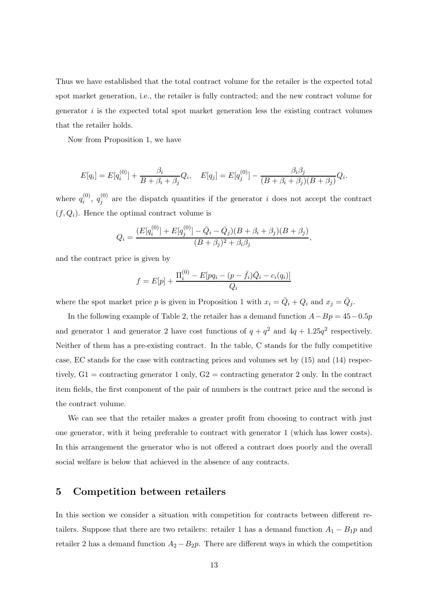Thus we have established that the total contract volume for the retailer is the expected total spot market generation, i.e., the retailer is fully contracted; and the new contract volume for generator  $i$  is the expected total spot market generation less the existing contract volumes that the retailer holds.

Now from Proposition 1, we have

$$
E[q_i] = E[q_i^{(0)}] + \frac{\beta_i}{B + \beta_i + \beta_j} Q_i, \quad E[q_j] = E[q_j^{(0)}] - \frac{\beta_i \beta_j}{(B + \beta_i + \beta_j)(B + \beta_j)} Q_i.
$$

where  $q_i^{(0)}$  $\stackrel{(0)}{i},\stackrel{(0)}{q^{\left(0\right)}}$  $j_j^{(0)}$  are the dispatch quantities if the generator i does not accept the contract  $(f, Q_i)$ . Hence the optimal contract volume is

$$
Q_i = \frac{(E[q_i^{(0)}] + E[q_j^{(0)}] - \bar{Q}_i - \bar{Q}_j)(B + \beta_i + \beta_j)(B + \beta_j)}{(B + \beta_j)^2 + \beta_i \beta_j},
$$

and the contract price is given by

$$
f = E[p] + \frac{\Pi_i^{(0)} - E[pq_i - (p - \bar{f}_i)\bar{Q}_i - c_i(q_i)]}{Q_i}
$$

where the spot market price p is given in Proposition 1 with  $x_i = \overline{Q}_i + Q_i$  and  $x_j = \overline{Q}_j$ .

In the following example of Table 2, the retailer has a demand function  $A - Bp = 45 - 0.5p$ and generator 1 and generator 2 have cost functions of  $q + q^2$  and  $4q + 1.25q^2$  respectively. Neither of them has a pre-existing contract. In the table, C stands for the fully competitive case, EC stands for the case with contracting prices and volumes set by (15) and (14) respectively,  $G1 =$  contracting generator 1 only,  $G2 =$  contracting generator 2 only. In the contract item fields, the first component of the pair of numbers is the contract price and the second is the contract volume.

We can see that the retailer makes a greater profit from choosing to contract with just one generator, with it being preferable to contract with generator 1 (which has lower costs). In this arrangement the generator who is not offered a contract does poorly and the overall social welfare is below that achieved in the absence of any contracts.

## 5 Competition between retailers

In this section we consider a situation with competition for contracts between different retailers. Suppose that there are two retailers: retailer 1 has a demand function  $A_1 - B_1 p$  and retailer 2 has a demand function  $A_2 - B_2p$ . There are different ways in which the competition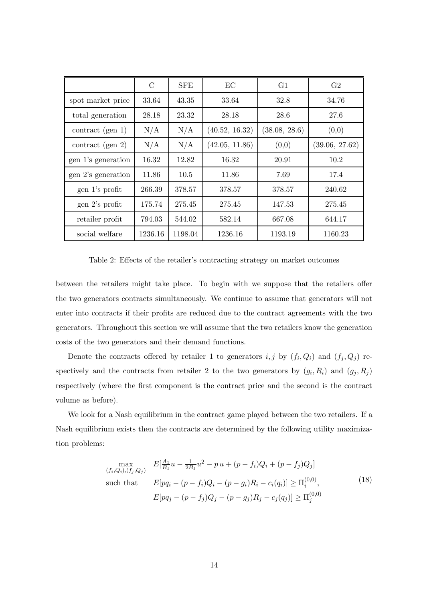|                     | $\mathcal{C}$ | <b>SFE</b> | EC             | G <sub>1</sub> | G <sub>2</sub> |
|---------------------|---------------|------------|----------------|----------------|----------------|
| spot market price   | 33.64         | 43.35      | 33.64          | 32.8           | 34.76          |
| total generation    | 28.18         | 23.32      | 28.18          | 28.6           | 27.6           |
| contract (gen 1)    | N/A           | N/A        | (40.52, 16.32) | (38.08, 28.6)  | (0,0)          |
| contract (gen $2$ ) | N/A           | N/A        | (42.05, 11.86) | (0,0)          | (39.06, 27.62) |
| gen 1's generation  | 16.32         | 12.82      | 16.32          | 20.91          | 10.2           |
| gen 2's generation  | 11.86         | 10.5       | 11.86          | 7.69           | 17.4           |
| gen 1's profit      | 266.39        | 378.57     | 378.57         | 378.57         | 240.62         |
| gen 2's profit      | 175.74        | 275.45     | 275.45         | 147.53         | 275.45         |
| retailer profit     | 794.03        | 544.02     | 582.14         | 667.08         | 644.17         |
| social welfare      | 1236.16       | 1198.04    | 1236.16        | 1193.19        | 1160.23        |

Table 2: Effects of the retailer's contracting strategy on market outcomes

between the retailers might take place. To begin with we suppose that the retailers offer the two generators contracts simultaneously. We continue to assume that generators will not enter into contracts if their profits are reduced due to the contract agreements with the two generators. Throughout this section we will assume that the two retailers know the generation costs of the two generators and their demand functions.

Denote the contracts offered by retailer 1 to generators  $i, j$  by  $(f_i, Q_i)$  and  $(f_j, Q_j)$  respectively and the contracts from retailer 2 to the two generators by  $(g_i, R_i)$  and  $(g_j, R_j)$ respectively (where the first component is the contract price and the second is the contract volume as before).

We look for a Nash equilibrium in the contract game played between the two retailers. If a Nash equilibrium exists then the contracts are determined by the following utility maximization problems:

$$
\max_{(f_i, Q_i), (f_j, Q_j)} E[\frac{A_1}{B_1}u - \frac{1}{2B_1}u^2 - pu + (p - f_i)Q_i + (p - f_j)Q_j]
$$
  
such that 
$$
E[pq_i - (p - f_i)Q_i - (p - g_i)R_i - c_i(q_i)] \ge \Pi_i^{(0,0)},
$$

$$
E[pq_j - (p - f_j)Q_j - (p - g_j)R_j - c_j(q_j)] \ge \Pi_j^{(0,0)}
$$
 (18)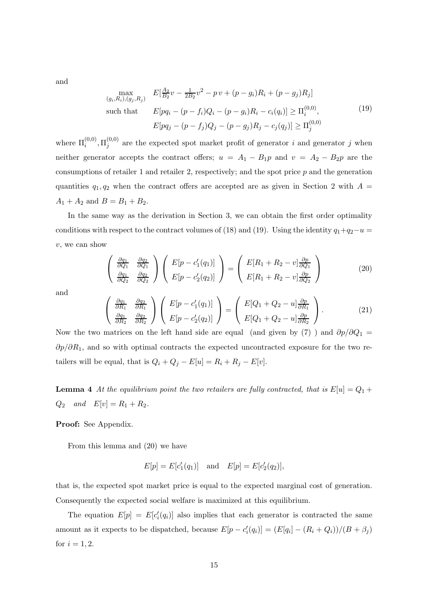and

$$
\max_{(g_i, R_i), (g_j, R_j)} E[\frac{A_2}{B_2}v - \frac{1}{2B_2}v^2 - pv + (p - g_i)R_i + (p - g_j)R_j]
$$
  
such that 
$$
E[pq_i - (p - f_i)Q_i - (p - g_i)R_i - c_i(q_i)] \ge \Pi_i^{(0,0)},
$$

$$
E[pq_j - (p - f_j)Q_j - (p - g_j)R_j - c_j(q_j)] \ge \Pi_j^{(0,0)}
$$
(19)

where  $\Pi_{i}^{(0,0)}, \Pi_{j}^{(0,0)}$  $j^{(0,0)}$  are the expected spot market profit of generator i and generator j when neither generator accepts the contract offers;  $u = A_1 - B_1p$  and  $v = A_2 - B_2p$  are the consumptions of retailer 1 and retailer 2, respectively; and the spot price  $p$  and the generation quantities  $q_1, q_2$  when the contract offers are accepted are as given in Section 2 with  $A =$  $A_1 + A_2$  and  $B = B_1 + B_2$ .

In the same way as the derivation in Section 3, we can obtain the first order optimality conditions with respect to the contract volumes of (18) and (19). Using the identity  $q_1+q_2-u$ v, we can show

$$
\begin{pmatrix}\n\frac{\partial q_1}{\partial Q_1} & \frac{\partial q_2}{\partial Q_1} \\
\frac{\partial q_1}{\partial Q_2} & \frac{\partial q_2}{\partial Q_2}\n\end{pmatrix}\n\begin{pmatrix}\nE[p - c'_1(q_1)] \\
E[p - c'_2(q_2)]\n\end{pmatrix} =\n\begin{pmatrix}\nE[R_1 + R_2 - v]\frac{\partial p}{\partial Q_1} \\
E[R_1 + R_2 - v]\frac{\partial p}{\partial Q_2}\n\end{pmatrix}
$$
\n(20)

and

$$
\begin{pmatrix}\n\frac{\partial q_1}{\partial R_1} & \frac{\partial q_2}{\partial R_1} \\
\frac{\partial q_1}{\partial R_2} & \frac{\partial q_2}{\partial R_2}\n\end{pmatrix}\n\begin{pmatrix}\nE[p - c'_1(q_1)] \\
E[p - c'_2(q_2)]\n\end{pmatrix} =\n\begin{pmatrix}\nE[Q_1 + Q_2 - u]\frac{\partial p}{\partial R_1} \\
E[Q_1 + Q_2 - u]\frac{\partial p}{\partial R_2}\n\end{pmatrix}.
$$
\n(21)

Now the two matrices on the left hand side are equal (and given by  $(7)$ ) and  $\partial p/\partial Q_1 =$  $\partial p/\partial R_1$ , and so with optimal contracts the expected uncontracted exposure for the two retailers will be equal, that is  $Q_i + Q_j - E[u] = R_i + R_j - E[v]$ .

**Lemma 4** At the equilibrium point the two retailers are fully contracted, that is  $E[u] = Q_1 +$  $Q_2$  and  $E[v] = R_1 + R_2$ .

## Proof: See Appendix.

From this lemma and (20) we have

$$
E[p] = E[c'_1(q_1)]
$$
 and  $E[p] = E[c'_2(q_2)],$ 

that is, the expected spot market price is equal to the expected marginal cost of generation. Consequently the expected social welfare is maximized at this equilibrium.

The equation  $E[p] = E[c'_i]$  $i(q_i)$  also implies that each generator is contracted the same amount as it expects to be dispatched, because  $E[p - c'_i]$  $I'_{i}(q_{i})] = (E[q_{i}] - (R_{i} + Q_{i}))/(B + \beta_{j})$ for  $i = 1, 2$ .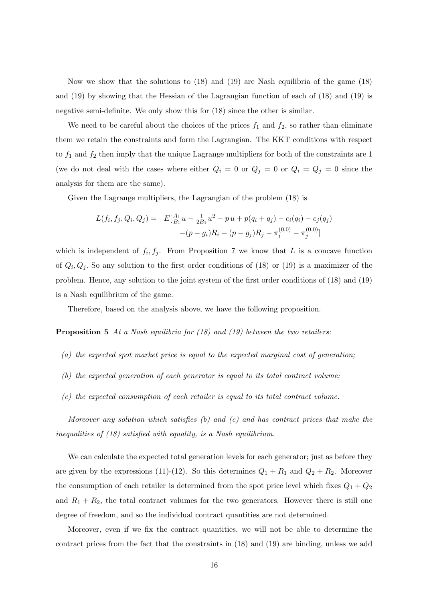Now we show that the solutions to (18) and (19) are Nash equilibria of the game (18) and (19) by showing that the Hessian of the Lagrangian function of each of (18) and (19) is negative semi-definite. We only show this for (18) since the other is similar.

We need to be careful about the choices of the prices  $f_1$  and  $f_2$ , so rather than eliminate them we retain the constraints and form the Lagrangian. The KKT conditions with respect to  $f_1$  and  $f_2$  then imply that the unique Lagrange multipliers for both of the constraints are 1 (we do not deal with the cases where either  $Q_i = 0$  or  $Q_j = 0$  or  $Q_i = Q_j = 0$  since the analysis for them are the same).

Given the Lagrange multipliers, the Lagrangian of the problem (18) is

$$
L(f_i, f_j, Q_i, Q_j) = E[\frac{A_1}{B_1}u - \frac{1}{2B_1}u^2 - p u + p(q_i + q_j) - c_i(q_i) - c_j(q_j) - (p - q_i)R_i - (p - g_j)R_j - \pi_i^{(0,0)} - \pi_j^{(0,0)}]
$$

which is independent of  $f_i, f_j$ . From Proposition 7 we know that L is a concave function of  $Q_i, Q_j$ . So any solution to the first order conditions of (18) or (19) is a maximizer of the problem. Hence, any solution to the joint system of the first order conditions of (18) and (19) is a Nash equilibrium of the game.

Therefore, based on the analysis above, we have the following proposition.

Proposition 5 At a Nash equilibria for (18) and (19) between the two retailers:

- (a) the expected spot market price is equal to the expected marginal cost of generation;
- (b) the expected generation of each generator is equal to its total contract volume;
- (c) the expected consumption of each retailer is equal to its total contract volume.

Moreover any solution which satisfies  $(b)$  and  $(c)$  and has contract prices that make the inequalities of (18) satisfied with equality, is a Nash equilibrium.

We can calculate the expected total generation levels for each generator; just as before they are given by the expressions (11)-(12). So this determines  $Q_1 + R_1$  and  $Q_2 + R_2$ . Moreover the consumption of each retailer is determined from the spot price level which fixes  $Q_1 + Q_2$ and  $R_1 + R_2$ , the total contract volumes for the two generators. However there is still one degree of freedom, and so the individual contract quantities are not determined.

Moreover, even if we fix the contract quantities, we will not be able to determine the contract prices from the fact that the constraints in (18) and (19) are binding, unless we add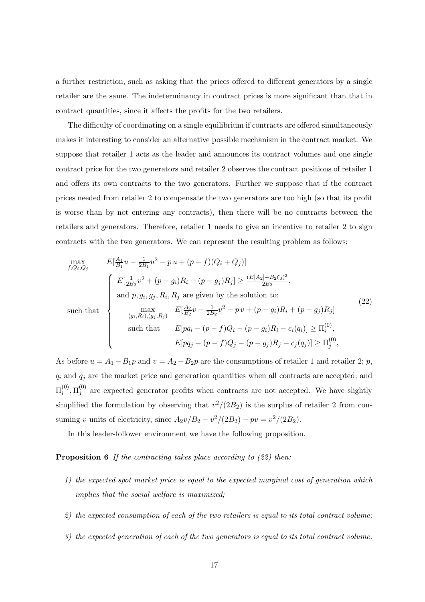a further restriction, such as asking that the prices offered to different generators by a single retailer are the same. The indeterminancy in contract prices is more significant than that in contract quantities, since it affects the profits for the two retailers.

The difficulty of coordinating on a single equilibrium if contracts are offered simultaneously makes it interesting to consider an alternative possible mechanism in the contract market. We suppose that retailer 1 acts as the leader and announces its contract volumes and one single contract price for the two generators and retailer 2 observes the contract positions of retailer 1 and offers its own contracts to the two generators. Further we suppose that if the contract prices needed from retailer 2 to compensate the two generators are too high (so that its profit is worse than by not entering any contracts), then there will be no contracts between the retailers and generators. Therefore, retailer 1 needs to give an incentive to retailer 2 to sign contracts with the two generators. We can represent the resulting problem as follows:

$$
\begin{aligned}\n\max_{f,Q_i,Q_j} & E[\frac{A_1}{B_1}u - \frac{1}{2B_1}u^2 - p\,u + (p-f)(Q_i + Q_j)] \\
& \text{and } & p, g_i, g_j, R_i, R_j \text{ are given by the solution to:} \\
\text{such that} & \begin{cases}\nE[\frac{1}{2B_2}v^2 + (p-g_i)R_i + (p-g_j)R_j] > \frac{(E[A_2]-B_2\xi_0)^2}{2B_2}, \\
\text{and } & p, g_i, g_j, R_i, R_j \text{ are given by the solution to:} \\
& \max_{(g_i,R_i),(g_j,R_j)} E[\frac{A_2}{B_2}v - \frac{1}{2B_2}v^2 - p\,v + (p-g_i)R_i + (p-g_j)R_j] \\
\text{such that} & E[pq_i - (p-f)Q_i - (p-g_j)R_i - c_i(q_i)] > \Pi_i^{(0)}, \\
& E[pq_j - (p-f)Q_j - (p-g_j)R_j - c_j(q_j)] > \Pi_j^{(0)},\n\end{cases}\n\end{aligned}\n\tag{22}
$$

As before  $u = A_1 - B_1p$  and  $v = A_2 - B_2p$  are the consumptions of retailer 1 and retailer 2; p,  $q_i$  and  $q_j$  are the market price and generation quantities when all contracts are accepted; and  $\Pi_i^{(0)}$  $_{i}^{\left( 0\right) },\Pi_{j}^{\left( 0\right) }$  $j^{(0)}$  are expected generator profits when contracts are not accepted. We have slightly simplified the formulation by observing that  $v^2/(2B_2)$  is the surplus of retailer 2 from consuming v units of electricity, since  $A_2v/B_2 - v^2/(2B_2) - pv = v^2/(2B_2)$ .

In this leader-follower environment we have the following proposition.

**Proposition 6** If the contracting takes place according to  $(22)$  then:

- 1) the expected spot market price is equal to the expected marginal cost of generation which implies that the social welfare is maximized;
- 2) the expected consumption of each of the two retailers is equal to its total contract volume:
- 3) the expected generation of each of the two generators is equal to its total contract volume.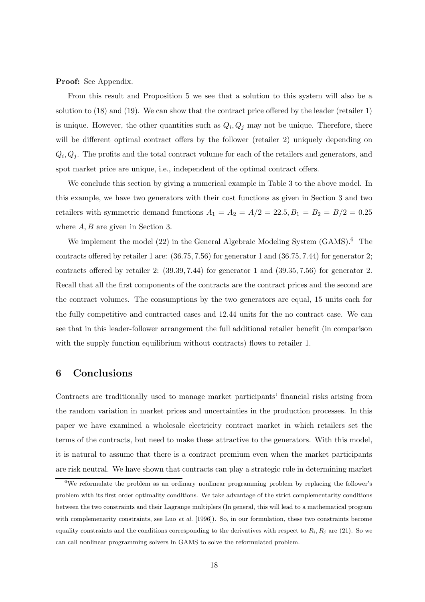Proof: See Appendix.

From this result and Proposition 5 we see that a solution to this system will also be a solution to (18) and (19). We can show that the contract price offered by the leader (retailer 1) is unique. However, the other quantities such as  $Q_i, Q_j$  may not be unique. Therefore, there will be different optimal contract offers by the follower (retailer 2) uniquely depending on  $Q_i, Q_j$ . The profits and the total contract volume for each of the retailers and generators, and spot market price are unique, i.e., independent of the optimal contract offers.

We conclude this section by giving a numerical example in Table 3 to the above model. In this example, we have two generators with their cost functions as given in Section 3 and two retailers with symmetric demand functions  $A_1 = A_2 = A/2 = 22.5, B_1 = B_2 = B/2 = 0.25$ where  $A, B$  are given in Section 3.

We implement the model  $(22)$  in the General Algebraic Modeling System  $(GAMS)$ .<sup>6</sup> The contracts offered by retailer 1 are: (36.75, 7.56) for generator 1 and (36.75, 7.44) for generator 2; contracts offered by retailer 2: (39.39, 7.44) for generator 1 and (39.35, 7.56) for generator 2. Recall that all the first components of the contracts are the contract prices and the second are the contract volumes. The consumptions by the two generators are equal, 15 units each for the fully competitive and contracted cases and 12.44 units for the no contract case. We can see that in this leader-follower arrangement the full additional retailer benefit (in comparison with the supply function equilibrium without contracts) flows to retailer 1.

# 6 Conclusions

Contracts are traditionally used to manage market participants' financial risks arising from the random variation in market prices and uncertainties in the production processes. In this paper we have examined a wholesale electricity contract market in which retailers set the terms of the contracts, but need to make these attractive to the generators. With this model, it is natural to assume that there is a contract premium even when the market participants are risk neutral. We have shown that contracts can play a strategic role in determining market

 $6$ We reformulate the problem as an ordinary nonlinear programming problem by replacing the follower's problem with its first order optimality conditions. We take advantage of the strict complementarity conditions between the two constraints and their Lagrange multiplers (In general, this will lead to a mathematical program with complemenarity constraints, see Luo *et al.* [1996]). So, in our formulation, these two constraints become equality constraints and the conditions corresponding to the derivatives with respect to  $R_i, R_j$  are (21). So we can call nonlinear programming solvers in GAMS to solve the reformulated problem.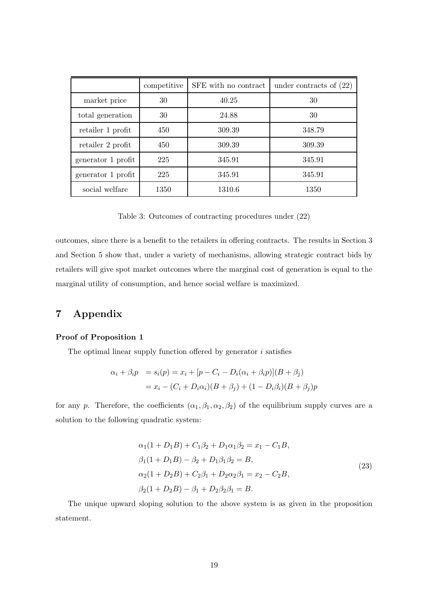|                    | competitive | SFE with no contract | under contracts of $(22)$ |
|--------------------|-------------|----------------------|---------------------------|
| market price       | 30          | 40.25                | 30                        |
| total generation   | 30          | 24.88                | 30                        |
| retailer 1 profit  | 450         | 309.39               | 348.79                    |
| retailer 2 profit  | 450         | 309.39               | 309.39                    |
| generator 1 profit | 225         | 345.91               | 345.91                    |
| generator 1 profit | 225         | 345.91               | 345.91                    |
| social welfare     | 1350        | 1310.6               | 1350                      |

Table 3: Outcomes of contracting procedures under (22)

outcomes, since there is a benefit to the retailers in offering contracts. The results in Section 3 and Section 5 show that, under a variety of mechanisms, allowing strategic contract bids by retailers will give spot market outcomes where the marginal cost of generation is equal to the marginal utility of consumption, and hence social welfare is maximized.

# 7 Appendix

#### Proof of Proposition 1

The optimal linear supply function offered by generator  $i$  satisfies

$$
\alpha_i + \beta_i p = s_i(p) = x_i + [p - C_i - D_i(\alpha_i + \beta_i p)](B + \beta_j)
$$
  
=  $x_i - (C_i + D_i \alpha_i)(B + \beta_j) + (1 - D_i \beta_i)(B + \beta_j)p$ 

for any p. Therefore, the coefficients  $(\alpha_1,\beta_1,\alpha_2,\beta_2)$  of the equilibrium supply curves are a solution to the following quadratic system:

$$
\alpha_1(1+D_1B) + C_1\beta_2 + D_1\alpha_1\beta_2 = x_1 - C_1B,
$$
  
\n
$$
\beta_1(1+D_1B) - \beta_2 + D_1\beta_1\beta_2 = B,
$$
  
\n
$$
\alpha_2(1+D_2B) + C_2\beta_1 + D_2\alpha_2\beta_1 = x_2 - C_2B,
$$
  
\n
$$
\beta_2(1+D_2B) - \beta_1 + D_2\beta_2\beta_1 = B.
$$
\n(23)

The unique upward sloping solution to the above system is as given in the proposition statement.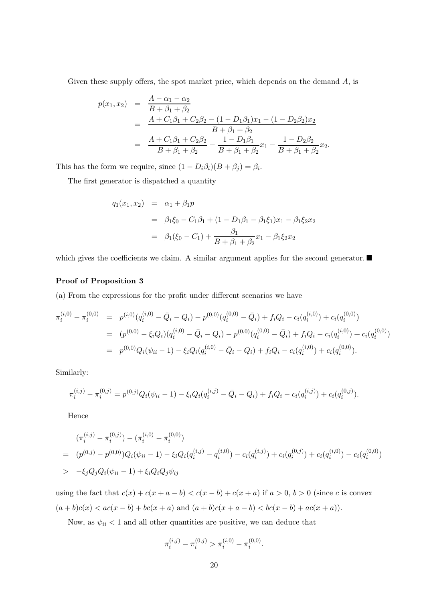Given these supply offers, the spot market price, which depends on the demand  $A$ , is

$$
p(x_1, x_2) = \frac{A - \alpha_1 - \alpha_2}{B + \beta_1 + \beta_2}
$$
  
= 
$$
\frac{A + C_1\beta_1 + C_2\beta_2 - (1 - D_1\beta_1)x_1 - (1 - D_2\beta_2)x_2}{B + \beta_1 + \beta_2}
$$
  
= 
$$
\frac{A + C_1\beta_1 + C_2\beta_2}{B + \beta_1 + \beta_2} - \frac{1 - D_1\beta_1}{B + \beta_1 + \beta_2}x_1 - \frac{1 - D_2\beta_2}{B + \beta_1 + \beta_2}x_2.
$$

This has the form we require, since  $(1 - D_i \beta_i)(B + \beta_j) = \beta_i$ .

The first generator is dispatched a quantity

$$
q_1(x_1, x_2) = \alpha_1 + \beta_1 p
$$
  
=  $\beta_1 \xi_0 - C_1 \beta_1 + (1 - D_1 \beta_1 - \beta_1 \xi_1) x_1 - \beta_1 \xi_2 x_2$   
=  $\beta_1 (\xi_0 - C_1) + \frac{\beta_1}{B + \beta_1 + \beta_2} x_1 - \beta_1 \xi_2 x_2$ 

which gives the coefficients we claim. A similar argument applies for the second generator.

#### Proof of Proposition 3

(a) From the expressions for the profit under different scenarios we have

$$
\pi_i^{(i,0)} - \pi_i^{(0,0)} = p^{(i,0)}(q_i^{(i,0)} - \bar{Q}_i - Q_i) - p^{(0,0)}(q_i^{(0,0)} - \bar{Q}_i) + f_i Q_i - c_i(q_i^{(i,0)}) + c_i(q_i^{(0,0)})
$$
  
\n
$$
= (p^{(0,0)} - \xi_i Q_i)(q_i^{(i,0)} - \bar{Q}_i - Q_i) - p^{(0,0)}(q_i^{(0,0)} - \bar{Q}_i) + f_i Q_i - c_i(q_i^{(i,0)}) + c_i(q_i^{(0,0)})
$$
  
\n
$$
= p^{(0,0)}Q_i(\psi_{ii} - 1) - \xi_i Q_i(q_i^{(i,0)} - \bar{Q}_i - Q_i) + f_i Q_i - c_i(q_i^{(i,0)}) + c_i(q_i^{(0,0)}).
$$

Similarly:

$$
\pi_i^{(i,j)} - \pi_i^{(0,j)} = p^{(0,j)}Q_i(\psi_{ii} - 1) - \xi_i Q_i(q_i^{(i,j)} - \bar{Q}_i - Q_i) + f_i Q_i - c_i(q_i^{(i,j)}) + c_i(q_i^{(0,j)}).
$$

Hence

$$
(\pi_i^{(i,j)} - \pi_i^{(0,j)}) - (\pi_i^{(i,0)} - \pi_i^{(0,0)})
$$
\n
$$
= (p^{(0,j)} - p^{(0,0)})Q_i(\psi_{ii} - 1) - \xi_i Q_i(q_i^{(i,j)} - q_i^{(i,0)}) - c_i(q_i^{(i,j)}) + c_i(q_i^{(0,j)}) + c_i(q_i^{(i,0)}) - c_i(q_i^{(0,0)})
$$
\n
$$
> -\xi_j Q_j Q_i(\psi_{ii} - 1) + \xi_i Q_i Q_j \psi_{ij}
$$

using the fact that  $c(x) + c(x + a - b) < c(x - b) + c(x + a)$  if  $a > 0$ ,  $b > 0$  (since c is convex  $(a + b)c(x) < ac(x - b) + bc(x + a)$  and  $(a + b)c(x + a - b) < bc(x - b) + ac(x + a)$ .

Now, as  $\psi_{ii}$  < 1 and all other quantities are positive, we can deduce that

$$
\pi_i^{(i,j)} - \pi_i^{(0,j)} > \pi_i^{(i,0)} - \pi_i^{(0,0)}.
$$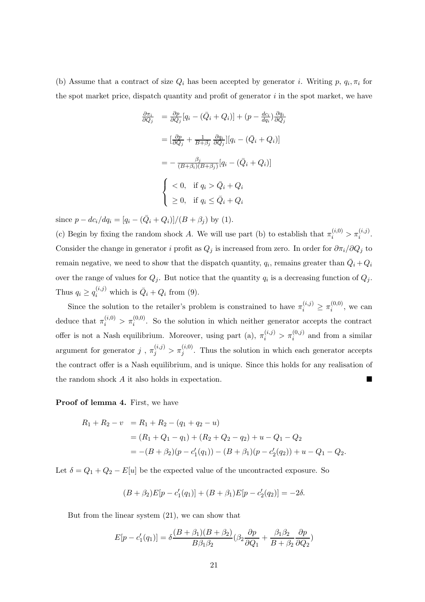(b) Assume that a contract of size  $Q_i$  has been accepted by generator i. Writing p,  $q_i, \pi_i$  for the spot market price, dispatch quantity and profit of generator  $i$  in the spot market, we have

$$
\frac{\partial \pi_i}{\partial Q_j} = \frac{\partial p}{\partial Q_j} [q_i - (\bar{Q}_i + Q_i)] + (p - \frac{dc_i}{dq_i}) \frac{\partial q_i}{\partial Q_j}
$$

$$
= [\frac{\partial p}{\partial Q_j} + \frac{1}{B + \beta_j} \frac{\partial q_i}{\partial Q_j}] [q_i - (\bar{Q}_i + Q_i)]
$$

$$
= -\frac{\beta_j}{(B + \beta_i)(B + \beta_j)} [q_i - (\bar{Q}_i + Q_i)]
$$

$$
\begin{cases} < 0, & \text{if } q_i > \bar{Q}_i + Q_i \\ \ge 0, & \text{if } q_i \le \bar{Q}_i + Q_i \end{cases}
$$

since  $p - dc_i/dq_i = [q_i - (\bar{Q}_i + Q_i)]/(B + \beta_j)$  by (1).

(c) Begin by fixing the random shock A. We will use part (b) to establish that  $\pi_i^{(i,0)} > \pi_i^{(i,j)}$ . Consider the change in generator i profit as  $Q_j$  is increased from zero. In order for  $\partial \pi_i/\partial Q_j$  to remain negative, we need to show that the dispatch quantity,  $q_i$ , remains greater than  $\overline{Q}_i + Q_i$ over the range of values for  $Q_j$ . But notice that the quantity  $q_i$  is a decreasing function of  $Q_j$ . Thus  $q_i \ge q_i^{(i,j)}$  which is  $\bar{Q}_i + Q_i$  from (9).

Since the solution to the retailer's problem is constrained to have  $\pi_i^{(i,j)} \geq \pi_i^{(0,0)}$  $i^{(0,0)}$ , we can deduce that  $\pi_i^{(i,0)} > \pi_i^{(0,0)}$ . So the solution in which neither generator accepts the contract offer is not a Nash equilibrium. Moreover, using part (a),  $\pi_i^{(i,j)} > \pi_i^{(0,j)}$  and from a similar argument for generator j,  $\pi_j^{(i,j)} > \pi_j^{(i,0)}$ . Thus the solution in which each generator accepts the contract offer is a Nash equilibrium, and is unique. Since this holds for any realisation of the random shock A it also holds in expectation.

#### Proof of lemma 4. First, we have

$$
R_1 + R_2 - v = R_1 + R_2 - (q_1 + q_2 - u)
$$
  
=  $(R_1 + Q_1 - q_1) + (R_2 + Q_2 - q_2) + u - Q_1 - Q_2$   
=  $-(B + \beta_2)(p - c'_1(q_1)) - (B + \beta_1)(p - c'_2(q_2)) + u - Q_1 - Q_2.$ 

Let  $\delta = Q_1 + Q_2 - E[u]$  be the expected value of the uncontracted exposure. So

$$
(B + \beta_2)E[p - c'_1(q_1)] + (B + \beta_1)E[p - c'_2(q_2)] = -2\delta.
$$

But from the linear system (21), we can show that

$$
E[p - c'_1(q_1)] = \delta \frac{(B + \beta_1)(B + \beta_2)}{B\beta_1\beta_2} (\beta_2 \frac{\partial p}{\partial Q_1} + \frac{\beta_1\beta_2}{B + \beta_2} \frac{\partial p}{\partial Q_2})
$$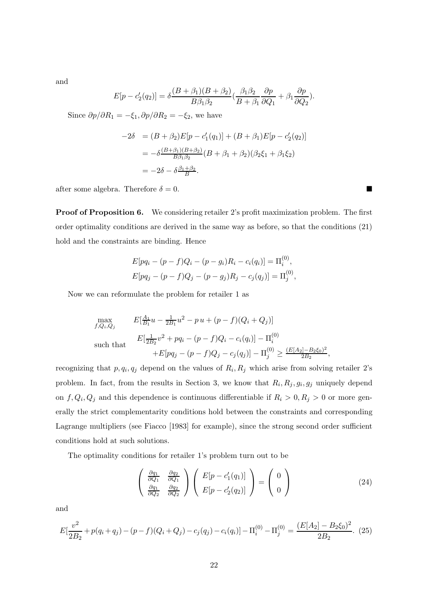and

$$
E[p - c'_2(q_2)] = \delta \frac{(B + \beta_1)(B + \beta_2)}{B\beta_1\beta_2} \left(\frac{\beta_1\beta_2}{B + \beta_1} \frac{\partial p}{\partial Q_1} + \beta_1 \frac{\partial p}{\partial Q_2}\right).
$$

Since  $\partial p/\partial R_1 = -\xi_1, \partial p/\partial R_2 = -\xi_2$ , we have

$$
-2\delta = (B + \beta_2)E[p - c'_1(q_1)] + (B + \beta_1)E[p - c'_2(q_2)]
$$
  
=  $-\delta \frac{(B + \beta_1)(B + \beta_2)}{B\beta_1\beta_2} (B + \beta_1 + \beta_2)(\beta_2\xi_1 + \beta_1\xi_2)$   
=  $-2\delta - \delta \frac{\beta_1 + \beta_2}{B}.$ 

after some algebra. Therefore  $\delta = 0$ .

Proof of Proposition 6. We considering retailer 2's profit maximization problem. The first order optimality conditions are derived in the same way as before, so that the conditions (21) hold and the constraints are binding. Hence

$$
E[pq_i - (p - f)Q_i - (p - g_i)R_i - c_i(q_i)] = \Pi_i^{(0)},
$$
  
\n
$$
E[pq_j - (p - f)Q_j - (p - g_j)R_j - c_j(q_j)] = \Pi_j^{(0)},
$$

Now we can reformulate the problem for retailer 1 as

$$
\max_{f,Q_i,Q_j} \qquad E[\frac{A_1}{B_1}u - \frac{1}{2B_1}u^2 - p u + (p-f)(Q_i + Q_j)]
$$
\nsuch that

\n
$$
E[\frac{1}{2B_2}v^2 + pq_i - (p-f)Q_i - c_i(q_i)] - \Pi_i^{(0)}
$$
\n
$$
+ E[pq_j - (p-f)Q_j - c_j(q_j)] - \Pi_j^{(0)} \ge \frac{(E[A_2] - B_2\xi_0)^2}{2B_2},
$$

recognizing that  $p, q_i, q_j$  depend on the values of  $R_i, R_j$  which arise from solving retailer 2's problem. In fact, from the results in Section 3, we know that  $R_i, R_j, g_i, g_j$  uniquely depend on  $f, Q_i, Q_j$  and this dependence is continuous differentiable if  $R_i > 0, R_j > 0$  or more generally the strict complementarity conditions hold between the constraints and corresponding Lagrange multipliers (see Fiacco [1983] for example), since the strong second order sufficient conditions hold at such solutions.

The optimality conditions for retailer 1's problem turn out to be

$$
\begin{pmatrix}\n\frac{\partial q_1}{\partial Q_1} & \frac{\partial q_2}{\partial Q_1} \\
\frac{\partial q_1}{\partial Q_2} & \frac{\partial q_2}{\partial Q_2}\n\end{pmatrix}\n\begin{pmatrix}\nE[p - c'_1(q_1)] \\
E[p - c'_2(q_2)]\n\end{pmatrix} =\n\begin{pmatrix}\n0 \\
0\n\end{pmatrix}
$$
\n(24)

and

$$
E\left[\frac{v^2}{2B_2} + p(q_i + q_j) - (p - f)(Q_i + Q_j) - c_j(q_j) - c_i(q_i)\right] - \Pi_i^{(0)} - \Pi_j^{(0)} = \frac{(E[A_2] - B_2\xi_0)^2}{2B_2}.
$$
 (25)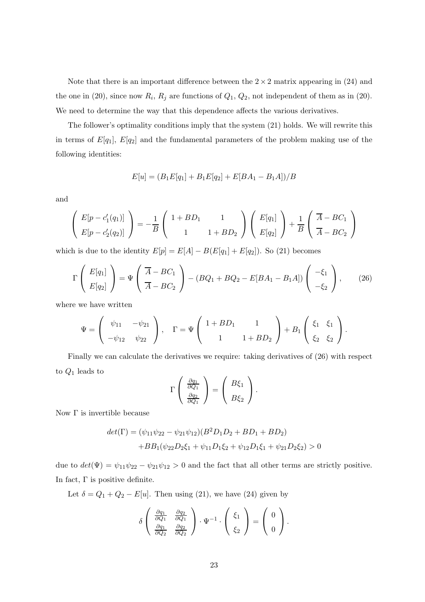Note that there is an important difference between the  $2 \times 2$  matrix appearing in (24) and the one in (20), since now  $R_i$ ,  $R_j$  are functions of  $Q_1$ ,  $Q_2$ , not independent of them as in (20). We need to determine the way that this dependence affects the various derivatives.

The follower's optimality conditions imply that the system (21) holds. We will rewrite this in terms of  $E[q_1], E[q_2]$  and the fundamental parameters of the problem making use of the following identities:

$$
E[u] = (B_1E[q_1] + B_1E[q_2] + E[BA_1 - B_1A])/B
$$

and

$$
\left(\begin{array}{c} E[p - c_1'(q_1)] \ E[p - c_2'(q_2)] \end{array}\right) = -\frac{1}{B} \left(\begin{array}{cc} 1 + BD_1 & 1 \ 1 & 1 + BD_2 \end{array}\right) \left(\begin{array}{c} E[q_1] \ E[q_2] \end{array}\right) + \frac{1}{B} \left(\begin{array}{c} \overline{A} - BC_1 \ \overline{A} - BC_2 \end{array}\right)
$$

which is due to the identity  $E[p] = E[A] - B(E[q_1] + E[q_2])$ . So (21) becomes

$$
\Gamma\left(\begin{array}{c}E[q_1] \\ E[q_2]\end{array}\right) = \Psi\left(\begin{array}{c}\overline{A} - BC_1 \\ \overline{A} - BC_2\end{array}\right) - (BQ_1 + BQ_2 - E[BA_1 - B_1A])\left(\begin{array}{c}-\xi_1 \\ -\xi_2\end{array}\right),\tag{26}
$$

where we have written

$$
\Psi = \left(\begin{array}{cc} \psi_{11} & -\psi_{21} \\ -\psi_{12} & \psi_{22} \end{array}\right), \quad \Gamma = \Psi \left(\begin{array}{cc} 1 + BD_1 & 1 \\ 1 & 1 + BD_2 \end{array}\right) + B_1 \left(\begin{array}{cc} \xi_1 & \xi_1 \\ \xi_2 & \xi_2 \end{array}\right).
$$

Finally we can calculate the derivatives we require: taking derivatives of (26) with respect to  $Q_1$  leads to

$$
\Gamma\left(\begin{array}{c}\frac{\partial q_1}{\partial Q_1}\\\frac{\partial q_2}{\partial Q_1}\end{array}\right)=\left(\begin{array}{c}B\xi_1\\B\xi_2\end{array}\right).
$$

Now  $Γ$  is invertible because

$$
det(\Gamma) = (\psi_{11}\psi_{22} - \psi_{21}\psi_{12})(B^2D_1D_2 + BD_1 + BD_2)
$$
  
+
$$
BB_1(\psi_{22}D_2\xi_1 + \psi_{11}D_1\xi_2 + \psi_{12}D_1\xi_1 + \psi_{21}D_2\xi_2) > 0
$$

due to  $det(\Psi) = \psi_{11}\psi_{22} - \psi_{21}\psi_{12} > 0$  and the fact that all other terms are strictly positive. In fact,  $\Gamma$  is positive definite.

Let  $\delta = Q_1 + Q_2 - E[u]$ . Then using (21), we have (24) given by

$$
\delta\left(\begin{array}{cc}\frac{\partial q_1}{\partial Q_1} & \frac{\partial q_2}{\partial Q_1} \\ \frac{\partial q_1}{\partial Q_2} & \frac{\partial q_2}{\partial Q_2}\end{array}\right) \cdot \Psi^{-1} \cdot \left(\begin{array}{c}\xi_1 \\ \xi_2\end{array}\right) = \left(\begin{array}{c}0 \\ 0\end{array}\right).
$$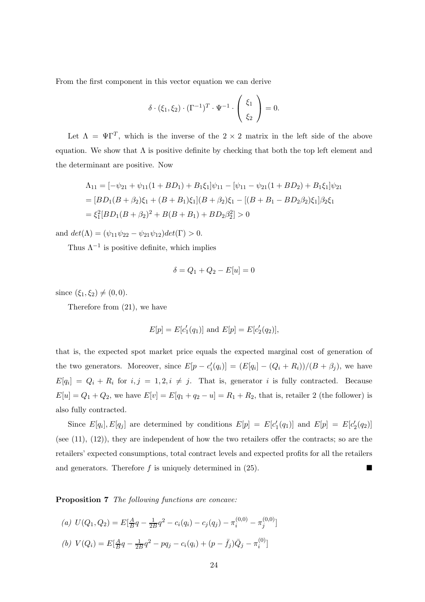From the first component in this vector equation we can derive

$$
\delta \cdot (\xi_1, \xi_2) \cdot (\Gamma^{-1})^T \cdot \Psi^{-1} \cdot \begin{pmatrix} \xi_1 \\ \xi_2 \end{pmatrix} = 0.
$$

Let  $\Lambda = \Psi \Gamma^T$ , which is the inverse of the 2 × 2 matrix in the left side of the above equation. We show that  $\Lambda$  is positive definite by checking that both the top left element and the determinant are positive. Now

$$
\Lambda_{11} = [-\psi_{21} + \psi_{11}(1 + BD_1) + B_1\xi_1]\psi_{11} - [\psi_{11} - \psi_{21}(1 + BD_2) + B_1\xi_1]\psi_{21}
$$
  
= 
$$
[BD_1(B + \beta_2)\xi_1 + (B + B_1)\xi_1](B + \beta_2)\xi_1 - [(B + B_1 - BD_2\beta_2)\xi_1]\beta_2\xi_1
$$
  
= 
$$
\xi_1^2[BD_1(B + \beta_2)^2 + B(B + B_1) + BD_2\beta_2^2] > 0
$$

and  $det(\Lambda) = (\psi_{11}\psi_{22} - \psi_{21}\psi_{12})det(\Gamma) > 0.$ 

Thus  $\Lambda^{-1}$  is positive definite, which implies

$$
\delta = Q_1 + Q_2 - E[u] = 0
$$

since  $(\xi_1, \xi_2) \neq (0, 0)$ .

Therefore from (21), we have

$$
E[p] = E[c'_1(q_1)] \text{ and } E[p] = E[c'_2(q_2)],
$$

that is, the expected spot market price equals the expected marginal cost of generation of the two generators. Moreover, since  $E[p - c'_i]$  $\mathcal{L}'_i(q_i)$  =  $(E[q_i] - (Q_i + R_i))/(B + \beta_j)$ , we have  $E[q_i] = Q_i + R_i$  for  $i, j = 1, 2, i \neq j$ . That is, generator i is fully contracted. Because  $E[u] = Q_1 + Q_2$ , we have  $E[v] = E[q_1 + q_2 - u] = R_1 + R_2$ , that is, retailer 2 (the follower) is also fully contracted.

Since  $E[q_i], E[q_j]$  are determined by conditions  $E[p] = E[c_1]$  $I_1(q_1)$  and  $E[p] = E[c_2]$  $'_{2}(q_{2})]$ (see (11), (12)), they are independent of how the two retailers offer the contracts; so are the retailers' expected consumptions, total contract levels and expected profits for all the retailers and generators. Therefore  $f$  is uniquely determined in  $(25)$ .

Proposition 7 The following functions are concave:

(a)  $U(Q_1, Q_2) = E[\frac{A}{B}]$  $\frac{A}{B}q-\frac{1}{2B}q^2-c_i(q_i)-c_j(q_j)-\pi^{(0,0)}_i-\pi^{(0,0)}_j$  $\binom{0,0)}{j}$ (b)  $V(Q_i) = E[\frac{A}{B}]$  $\frac{A}{B}q-\frac{1}{2B}q^{2}-pq_{j}-c_{i}(q_{i})+(p-\bar{f}_{j})\bar{Q}_{j}-\pi_{i}^{(0)}$  $\binom{(\mathsf{U})}{i}$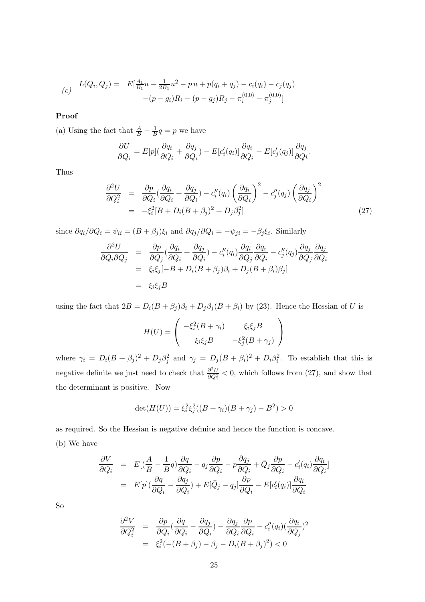$$
(c) \quad L(Q_i, Q_j) = E[\frac{A_1}{B_1}u - \frac{1}{2B_1}u^2 - pu + p(q_i + q_j) - c_i(q_i) - c_j(q_j) - (p - q_i)R_i - (p - q_j)R_j - \pi_i^{(0,0)} - \pi_j^{(0,0)}]
$$

## Proof

(a) Using the fact that  $\frac{A}{B} - \frac{1}{B}q = p$  we have

$$
\frac{\partial U}{\partial Q_i} = E[p](\frac{\partial q_i}{\partial Q_i} + \frac{\partial q_j}{\partial Q_i}) - E[c_i'(q_i)] \frac{\partial q_i}{\partial Q_i} - E[c_j'(q_j)] \frac{\partial q_j}{\partial Q_i}.
$$

Thus

$$
\frac{\partial^2 U}{\partial Q_i^2} = \frac{\partial p}{\partial Q_i} \left( \frac{\partial q_i}{\partial Q_i} + \frac{\partial q_j}{\partial Q_i} \right) - c_i''(q_i) \left( \frac{\partial q_i}{\partial Q_i} \right)^2 - c_j''(q_j) \left( \frac{\partial q_j}{\partial Q_i} \right)^2
$$
  
= 
$$
-\xi_i^2 [B + D_i (B + \beta_j)^2 + D_j \beta_j^2]
$$
(27)

since  $\partial q_i/\partial Q_i = \psi_{ii} = (B + \beta_j)\xi_i$  and  $\partial q_j/\partial Q_i = -\psi_{ji} = -\beta_j\xi_i$ . Similarly

$$
\frac{\partial^2 U}{\partial Q_i \partial Q_j} = \frac{\partial p}{\partial Q_j} \left( \frac{\partial q_i}{\partial Q_i} + \frac{\partial q_j}{\partial Q_i} \right) - c''_i(q_i) \frac{\partial q_i}{\partial Q_j} \frac{\partial q_i}{\partial Q_i} - c''_j(q_j) \frac{\partial q_j}{\partial Q_j} \frac{\partial q_j}{\partial Q_i} \n= \xi_i \xi_j [-B + D_i (B + \beta_j) \beta_i + D_j (B + \beta_i) \beta_j] \n= \xi_i \xi_j B
$$

using the fact that  $2B = D_i(B + \beta_j)\beta_i + D_j\beta_j(B + \beta_i)$  by (23). Hence the Hessian of U is

$$
H(U) = \begin{pmatrix} -\xi_i^2 (B + \gamma_i) & \xi_i \xi_j B \\ \xi_i \xi_j B & -\xi_j^2 (B + \gamma_j) \end{pmatrix}
$$

where  $\gamma_i = D_i (B + \beta_j)^2 + D_j \beta_j^2$  and  $\gamma_j = D_j (B + \beta_i)^2 + D_i \beta_i^2$ . To establish that this is negative definite we just need to check that  $\frac{\partial^2 U}{\partial Q^2}$  $\frac{\partial^2 U}{\partial Q_1^2}$  < 0, which follows from (27), and show that the determinant is positive. Now

$$
\det(H(U)) = \xi_i^2 \xi_j^2 ((B + \gamma_i)(B + \gamma_j) - B^2) > 0
$$

as required. So the Hessian is negative definite and hence the function is concave. (b) We have

$$
\frac{\partial V}{\partial Q_i} = E[(\frac{A}{B} - \frac{1}{B}q)\frac{\partial q}{\partial Q_i} - q_j\frac{\partial p}{\partial Q_i} - p\frac{\partial q_j}{\partial Q_i} + \bar{Q}_j\frac{\partial p}{\partial Q_i} - c_i'(q_i)\frac{\partial q_i}{\partial Q_i}]
$$
  

$$
= E[p](\frac{\partial q}{\partial Q_i} - \frac{\partial q_j}{\partial Q_i}) + E[\bar{Q}_j - q_j]\frac{\partial p}{\partial Q_i} - E[c_i'(q_i)]\frac{\partial q_i}{\partial Q_i}
$$

So

$$
\frac{\partial^2 V}{\partial Q_i^2} = \frac{\partial p}{\partial Q_i} \left( \frac{\partial q}{\partial Q_i} - \frac{\partial q_j}{\partial Q_i} \right) - \frac{\partial q_j}{\partial Q_i} \frac{\partial p}{\partial Q_i} - c_i''(q_i) \left( \frac{\partial q_i}{\partial Q_j} \right)^2
$$

$$
= \xi_i^2 \left( -(B + \beta_j) - \beta_j - D_i (B + \beta_j)^2 \right) < 0
$$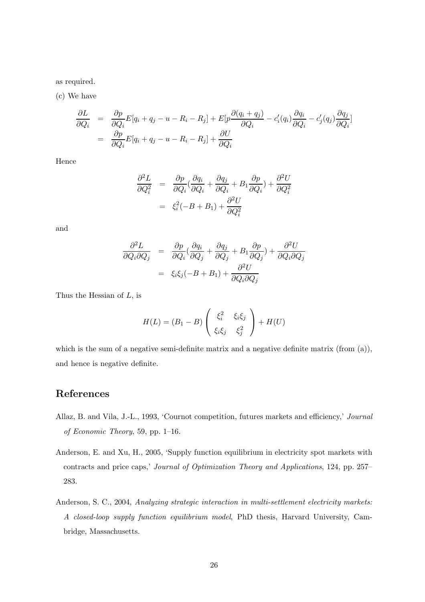as required.

(c) We have

$$
\frac{\partial L}{\partial Q_i} = \frac{\partial p}{\partial Q_i} E[q_i + q_j - u - R_i - R_j] + E[p \frac{\partial (q_i + q_j)}{\partial Q_i} - c_i'(q_i) \frac{\partial q_i}{\partial Q_i} - c_j'(q_j) \frac{\partial q_j}{\partial Q_i}]
$$
  
= 
$$
\frac{\partial p}{\partial Q_i} E[q_i + q_j - u - R_i - R_j] + \frac{\partial U}{\partial Q_i}
$$

Hence

$$
\frac{\partial^2 L}{\partial Q_i^2} = \frac{\partial p}{\partial Q_i} \left( \frac{\partial q_i}{\partial Q_i} + \frac{\partial q_j}{\partial Q_i} + B_1 \frac{\partial p}{\partial Q_i} \right) + \frac{\partial^2 U}{\partial Q_i^2}
$$

$$
= \xi_i^2 (-B + B_1) + \frac{\partial^2 U}{\partial Q_i^2}
$$

and

$$
\frac{\partial^2 L}{\partial Q_i \partial Q_j} = \frac{\partial p}{\partial Q_i} \left( \frac{\partial q_i}{\partial Q_j} + \frac{\partial q_j}{\partial Q_j} + B_1 \frac{\partial p}{\partial Q_j} \right) + \frac{\partial^2 U}{\partial Q_i \partial Q_j}
$$

$$
= \xi_i \xi_j (-B + B_1) + \frac{\partial^2 U}{\partial Q_i \partial Q_j}
$$

Thus the Hessian of  $L$ , is

$$
H(L) = (B_1 - B) \begin{pmatrix} \xi_i^2 & \xi_i \xi_j \\ \xi_i \xi_j & \xi_j^2 \end{pmatrix} + H(U)
$$

which is the sum of a negative semi-definite matrix and a negative definite matrix (from (a)), and hence is negative definite.

# References

- Allaz, B. and Vila, J.-L., 1993, 'Cournot competition, futures markets and efficiency,' Journal of Economic Theory, 59, pp. 1–16.
- Anderson, E. and Xu, H., 2005, 'Supply function equilibrium in electricity spot markets with contracts and price caps,' Journal of Optimization Theory and Applications, 124, pp. 257– 283.
- Anderson, S. C., 2004, Analyzing strategic interaction in multi-settlement electricity markets: A closed-loop supply function equilibrium model, PhD thesis, Harvard University, Cambridge, Massachusetts.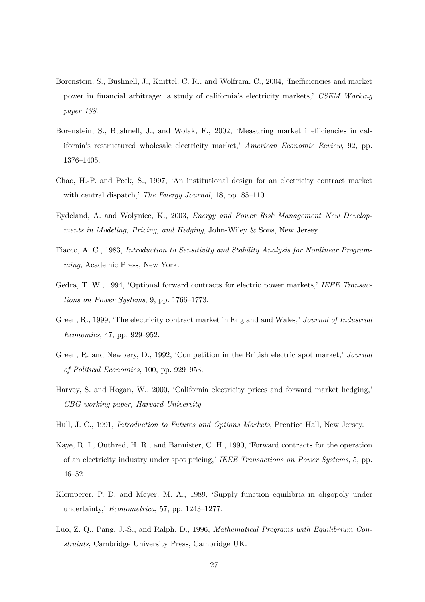- Borenstein, S., Bushnell, J., Knittel, C. R., and Wolfram, C., 2004, 'Inefficiencies and market power in financial arbitrage: a study of california's electricity markets,' CSEM Working paper 138.
- Borenstein, S., Bushnell, J., and Wolak, F., 2002, 'Measuring market inefficiencies in california's restructured wholesale electricity market,' American Economic Review, 92, pp. 1376–1405.
- Chao, H.-P. and Peck, S., 1997, 'An institutional design for an electricity contract market with central dispatch,' The Energy Journal, 18, pp. 85–110.
- Eydeland, A. and Wolyniec, K., 2003, Energy and Power Risk Management–New Developments in Modeling, Pricing, and Hedging, John-Wiley & Sons, New Jersey.
- Fiacco, A. C., 1983, Introduction to Sensitivity and Stability Analysis for Nonlinear Programming, Academic Press, New York.
- Gedra, T. W., 1994, 'Optional forward contracts for electric power markets,' IEEE Transactions on Power Systems, 9, pp. 1766–1773.
- Green, R., 1999, 'The electricity contract market in England and Wales,' Journal of Industrial Economics, 47, pp. 929–952.
- Green, R. and Newbery, D., 1992, 'Competition in the British electric spot market,' Journal of Political Economics, 100, pp. 929–953.
- Harvey, S. and Hogan, W., 2000, 'California electricity prices and forward market hedging,' CBG working paper, Harvard University.
- Hull, J. C., 1991, Introduction to Futures and Options Markets, Prentice Hall, New Jersey.
- Kaye, R. I., Outhred, H. R., and Bannister, C. H., 1990, 'Forward contracts for the operation of an electricity industry under spot pricing,' IEEE Transactions on Power Systems, 5, pp. 46–52.
- Klemperer, P. D. and Meyer, M. A., 1989, 'Supply function equilibria in oligopoly under uncertainty,' Econometrica, 57, pp. 1243–1277.
- Luo, Z. O., Pang, J.-S., and Ralph, D., 1996, *Mathematical Programs with Equilibrium Con*straints, Cambridge University Press, Cambridge UK.